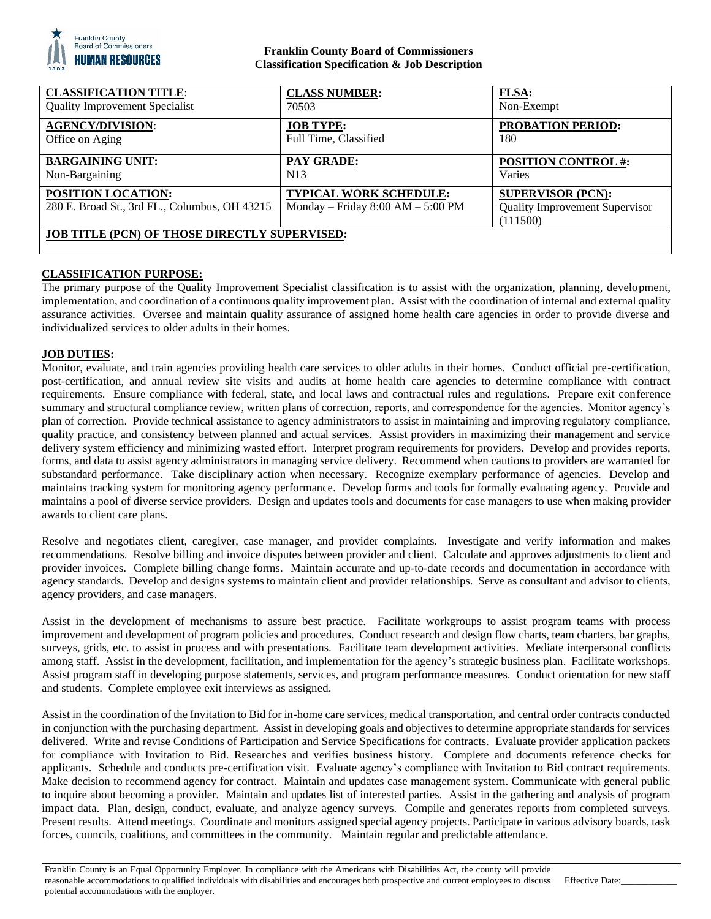

## **Franklin County Board of Commissioners Classification Specification & Job Description**

| <b>CLASSIFICATION TITLE:</b>                                        | <b>CLASS NUMBER:</b>                                                   | <b>FLSA:</b>                                                                  |
|---------------------------------------------------------------------|------------------------------------------------------------------------|-------------------------------------------------------------------------------|
| <b>Quality Improvement Specialist</b>                               | 70503                                                                  | Non-Exempt                                                                    |
| <b>AGENCY/DIVISION:</b>                                             | <b>JOB TYPE:</b>                                                       | <b>PROBATION PERIOD:</b>                                                      |
| Office on Aging                                                     | Full Time, Classified                                                  | 180                                                                           |
| <b>BARGAINING UNIT:</b>                                             | <b>PAY GRADE:</b>                                                      | <b>POSITION CONTROL #:</b>                                                    |
| Non-Bargaining                                                      | N <sub>13</sub>                                                        | Varies                                                                        |
| POSITION LOCATION:<br>280 E. Broad St., 3rd FL., Columbus, OH 43215 | <b>TYPICAL WORK SCHEDULE:</b><br>Monday – Friday $8:00$ AM – $5:00$ PM | <b>SUPERVISOR (PCN):</b><br><b>Quality Improvement Supervisor</b><br>(111500) |
| <b>JOB TITLE (PCN) OF THOSE DIRECTLY SUPERVISED:</b>                |                                                                        |                                                                               |

# **CLASSIFICATION PURPOSE:**

The primary purpose of the Quality Improvement Specialist classification is to assist with the organization, planning, development, implementation, and coordination of a continuous quality improvement plan. Assist with the coordination of internal and external quality assurance activities. Oversee and maintain quality assurance of assigned home health care agencies in order to provide diverse and individualized services to older adults in their homes.

## **JOB DUTIES:**

Monitor, evaluate, and train agencies providing health care services to older adults in their homes. Conduct official pre-certification, post-certification, and annual review site visits and audits at home health care agencies to determine compliance with contract requirements. Ensure compliance with federal, state, and local laws and contractual rules and regulations. Prepare exit conference summary and structural compliance review, written plans of correction, reports, and correspondence for the agencies. Monitor agency's plan of correction. Provide technical assistance to agency administrators to assist in maintaining and improving regulatory compliance, quality practice, and consistency between planned and actual services. Assist providers in maximizing their management and service delivery system efficiency and minimizing wasted effort. Interpret program requirements for providers. Develop and provides reports, forms, and data to assist agency administrators in managing service delivery. Recommend when cautions to providers are warranted for substandard performance. Take disciplinary action when necessary. Recognize exemplary performance of agencies. Develop and maintains tracking system for monitoring agency performance. Develop forms and tools for formally evaluating agency. Provide and maintains a pool of diverse service providers. Design and updates tools and documents for case managers to use when making provider awards to client care plans.

Resolve and negotiates client, caregiver, case manager, and provider complaints. Investigate and verify information and makes recommendations. Resolve billing and invoice disputes between provider and client. Calculate and approves adjustments to client and provider invoices. Complete billing change forms. Maintain accurate and up-to-date records and documentation in accordance with agency standards. Develop and designs systems to maintain client and provider relationships. Serve as consultant and advisor to clients, agency providers, and case managers.

Assist in the development of mechanisms to assure best practice. Facilitate workgroups to assist program teams with process improvement and development of program policies and procedures. Conduct research and design flow charts, team charters, bar graphs, surveys, grids, etc. to assist in process and with presentations. Facilitate team development activities. Mediate interpersonal conflicts among staff. Assist in the development, facilitation, and implementation for the agency's strategic business plan. Facilitate workshops. Assist program staff in developing purpose statements, services, and program performance measures. Conduct orientation for new staff and students. Complete employee exit interviews as assigned.

Assist in the coordination of the Invitation to Bid for in-home care services, medical transportation, and central order contracts conducted in conjunction with the purchasing department. Assist in developing goals and objectives to determine appropriate standards for services delivered. Write and revise Conditions of Participation and Service Specifications for contracts. Evaluate provider application packets for compliance with Invitation to Bid. Researches and verifies business history. Complete and documents reference checks for applicants. Schedule and conducts pre-certification visit. Evaluate agency's compliance with Invitation to Bid contract requirements. Make decision to recommend agency for contract. Maintain and updates case management system. Communicate with general public to inquire about becoming a provider. Maintain and updates list of interested parties. Assist in the gathering and analysis of program impact data. Plan, design, conduct, evaluate, and analyze agency surveys. Compile and generates reports from completed surveys. Present results. Attend meetings. Coordinate and monitors assigned special agency projects. Participate in various advisory boards, task forces, councils, coalitions, and committees in the community. Maintain regular and predictable attendance.